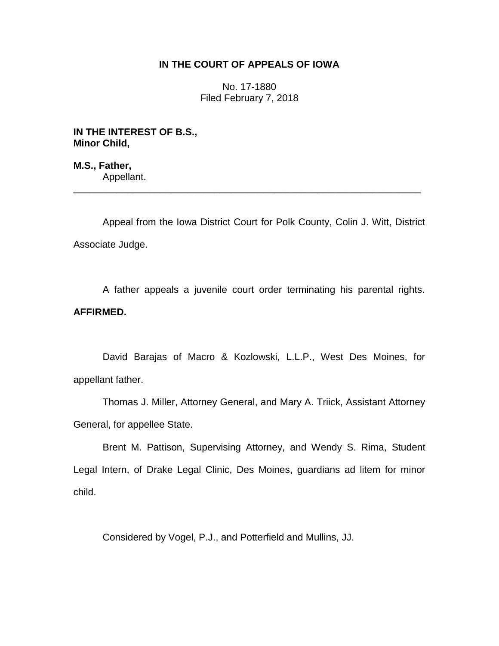## **IN THE COURT OF APPEALS OF IOWA**

No. 17-1880 Filed February 7, 2018

**IN THE INTEREST OF B.S., Minor Child,**

**M.S., Father,** Appellant.

Appeal from the Iowa District Court for Polk County, Colin J. Witt, District Associate Judge.

\_\_\_\_\_\_\_\_\_\_\_\_\_\_\_\_\_\_\_\_\_\_\_\_\_\_\_\_\_\_\_\_\_\_\_\_\_\_\_\_\_\_\_\_\_\_\_\_\_\_\_\_\_\_\_\_\_\_\_\_\_\_\_\_

A father appeals a juvenile court order terminating his parental rights. **AFFIRMED.** 

David Barajas of Macro & Kozlowski, L.L.P., West Des Moines, for appellant father.

Thomas J. Miller, Attorney General, and Mary A. Triick, Assistant Attorney General, for appellee State.

Brent M. Pattison, Supervising Attorney, and Wendy S. Rima, Student Legal Intern, of Drake Legal Clinic, Des Moines, guardians ad litem for minor child.

Considered by Vogel, P.J., and Potterfield and Mullins, JJ.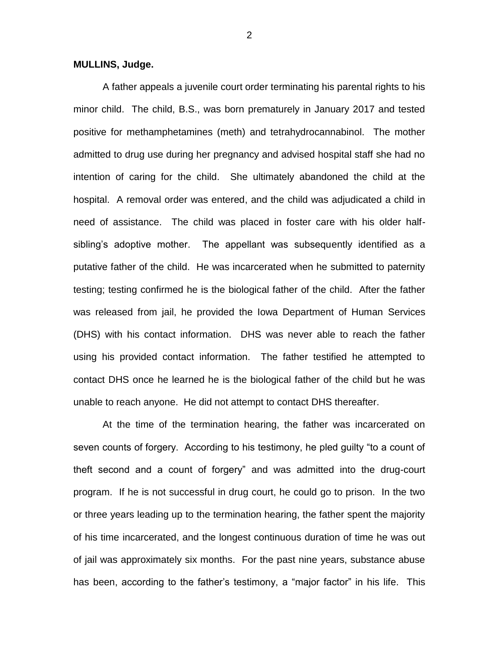## **MULLINS, Judge.**

A father appeals a juvenile court order terminating his parental rights to his minor child. The child, B.S., was born prematurely in January 2017 and tested positive for methamphetamines (meth) and tetrahydrocannabinol. The mother admitted to drug use during her pregnancy and advised hospital staff she had no intention of caring for the child. She ultimately abandoned the child at the hospital. A removal order was entered, and the child was adjudicated a child in need of assistance. The child was placed in foster care with his older halfsibling's adoptive mother. The appellant was subsequently identified as a putative father of the child. He was incarcerated when he submitted to paternity testing; testing confirmed he is the biological father of the child. After the father was released from jail, he provided the Iowa Department of Human Services (DHS) with his contact information. DHS was never able to reach the father using his provided contact information. The father testified he attempted to contact DHS once he learned he is the biological father of the child but he was unable to reach anyone. He did not attempt to contact DHS thereafter.

At the time of the termination hearing, the father was incarcerated on seven counts of forgery. According to his testimony, he pled guilty "to a count of theft second and a count of forgery" and was admitted into the drug-court program. If he is not successful in drug court, he could go to prison. In the two or three years leading up to the termination hearing, the father spent the majority of his time incarcerated, and the longest continuous duration of time he was out of jail was approximately six months. For the past nine years, substance abuse has been, according to the father's testimony, a "major factor" in his life. This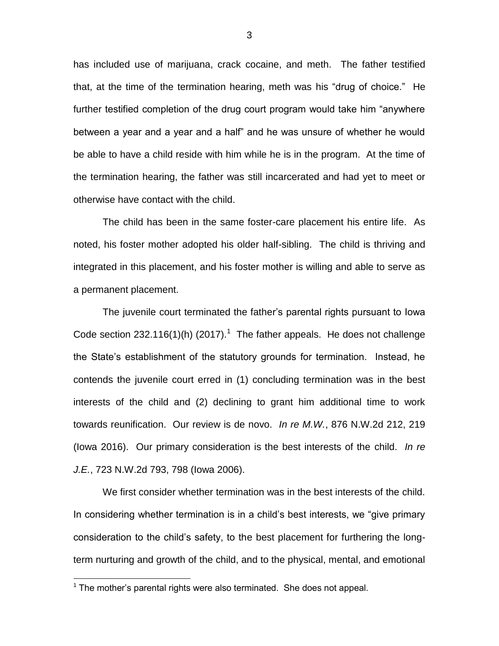has included use of marijuana, crack cocaine, and meth. The father testified that, at the time of the termination hearing, meth was his "drug of choice." He further testified completion of the drug court program would take him "anywhere between a year and a year and a half" and he was unsure of whether he would be able to have a child reside with him while he is in the program. At the time of the termination hearing, the father was still incarcerated and had yet to meet or otherwise have contact with the child.

The child has been in the same foster-care placement his entire life. As noted, his foster mother adopted his older half-sibling. The child is thriving and integrated in this placement, and his foster mother is willing and able to serve as a permanent placement.

The juvenile court terminated the father's parental rights pursuant to Iowa Code section 232.116(1)(h) (2017).<sup>1</sup> The father appeals. He does not challenge the State's establishment of the statutory grounds for termination. Instead, he contends the juvenile court erred in (1) concluding termination was in the best interests of the child and (2) declining to grant him additional time to work towards reunification. Our review is de novo. *In re M.W.*, 876 N.W.2d 212, 219 (Iowa 2016). Our primary consideration is the best interests of the child. *In re J.E.*, 723 N.W.2d 793, 798 (Iowa 2006).

We first consider whether termination was in the best interests of the child. In considering whether termination is in a child's best interests, we "give primary consideration to the child's safety, to the best placement for furthering the longterm nurturing and growth of the child, and to the physical, mental, and emotional

 $\overline{a}$ 

3

 $1$  The mother's parental rights were also terminated. She does not appeal.